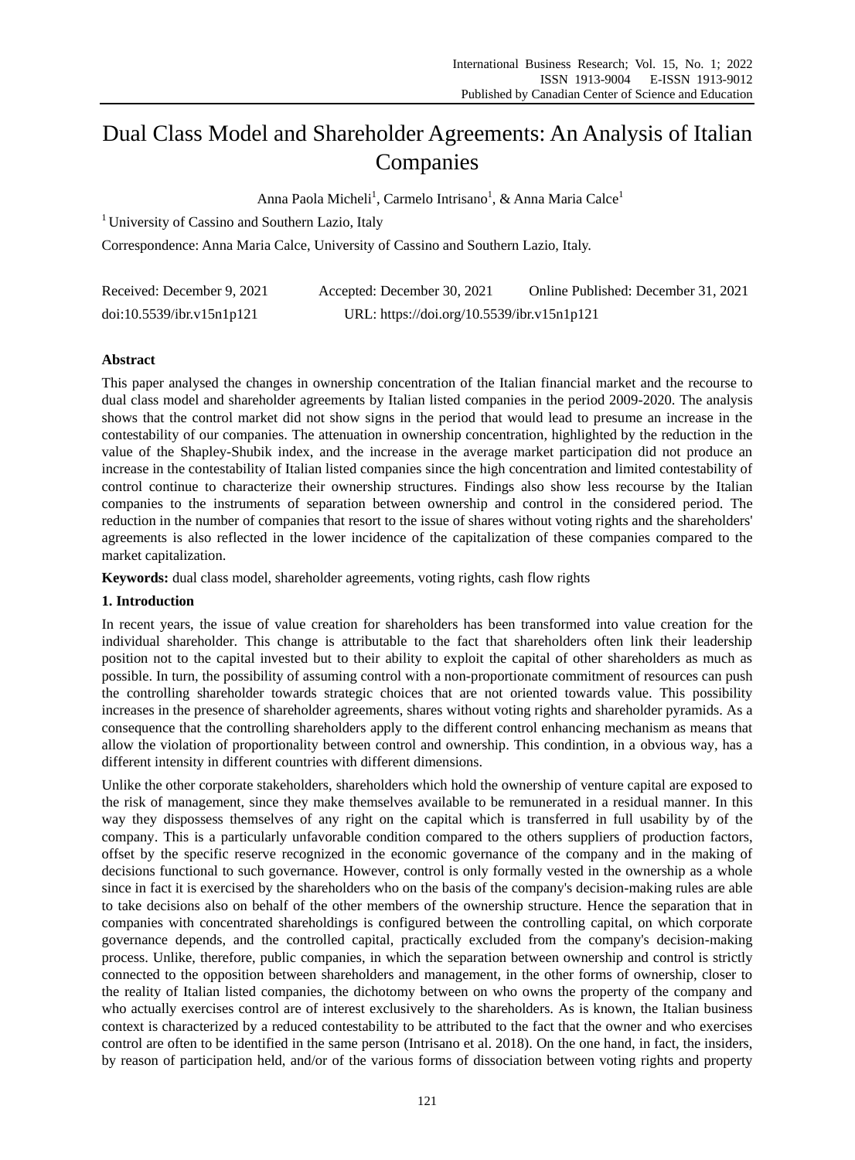# Dual Class Model and Shareholder Agreements: An Analysis of Italian Companies

Anna Paola Micheli<sup>1</sup>, Carmelo Intrisano<sup>1</sup>, & Anna Maria Calce<sup>1</sup>

<sup>1</sup> University of Cassino and Southern Lazio, Italy

Correspondence: Anna Maria Calce, University of Cassino and Southern Lazio, Italy.

| Received: December 9, 2021 | Accepted: December 30, 2021                | Online Published: December 31, 2021 |
|----------------------------|--------------------------------------------|-------------------------------------|
| doi:10.5539/ibr.v15n1p121  | URL: https://doi.org/10.5539/ibr.v15n1p121 |                                     |

# **Abstract**

This paper analysed the changes in ownership concentration of the Italian financial market and the recourse to dual class model and shareholder agreements by Italian listed companies in the period 2009-2020. The analysis shows that the control market did not show signs in the period that would lead to presume an increase in the contestability of our companies. The attenuation in ownership concentration, highlighted by the reduction in the value of the Shapley-Shubik index, and the increase in the average market participation did not produce an increase in the contestability of Italian listed companies since the high concentration and limited contestability of control continue to characterize their ownership structures. Findings also show less recourse by the Italian companies to the instruments of separation between ownership and control in the considered period. The reduction in the number of companies that resort to the issue of shares without voting rights and the shareholders' agreements is also reflected in the lower incidence of the capitalization of these companies compared to the market capitalization.

**Keywords:** dual class model, shareholder agreements, voting rights, cash flow rights

## **1. Introduction**

In recent years, the issue of value creation for shareholders has been transformed into value creation for the individual shareholder. This change is attributable to the fact that shareholders often link their leadership position not to the capital invested but to their ability to exploit the capital of other shareholders as much as possible. In turn, the possibility of assuming control with a non-proportionate commitment of resources can push the controlling shareholder towards strategic choices that are not oriented towards value. This possibility increases in the presence of shareholder agreements, shares without voting rights and shareholder pyramids. As a consequence that the controlling shareholders apply to the different control enhancing mechanism as means that allow the violation of proportionality between control and ownership. This condintion, in a obvious way, has a different intensity in different countries with different dimensions.

Unlike the other corporate stakeholders, shareholders which hold the ownership of venture capital are exposed to the risk of management, since they make themselves available to be remunerated in a residual manner. In this way they dispossess themselves of any right on the capital which is transferred in full usability by of the company. This is a particularly unfavorable condition compared to the others suppliers of production factors, offset by the specific reserve recognized in the economic governance of the company and in the making of decisions functional to such governance. However, control is only formally vested in the ownership as a whole since in fact it is exercised by the shareholders who on the basis of the company's decision-making rules are able to take decisions also on behalf of the other members of the ownership structure. Hence the separation that in companies with concentrated shareholdings is configured between the controlling capital, on which corporate governance depends, and the controlled capital, practically excluded from the company's decision-making process. Unlike, therefore, public companies, in which the separation between ownership and control is strictly connected to the opposition between shareholders and management, in the other forms of ownership, closer to the reality of Italian listed companies, the dichotomy between on who owns the property of the company and who actually exercises control are of interest exclusively to the shareholders. As is known, the Italian business context is characterized by a reduced contestability to be attributed to the fact that the owner and who exercises control are often to be identified in the same person (Intrisano et al. 2018). On the one hand, in fact, the insiders, by reason of participation held, and/or of the various forms of dissociation between voting rights and property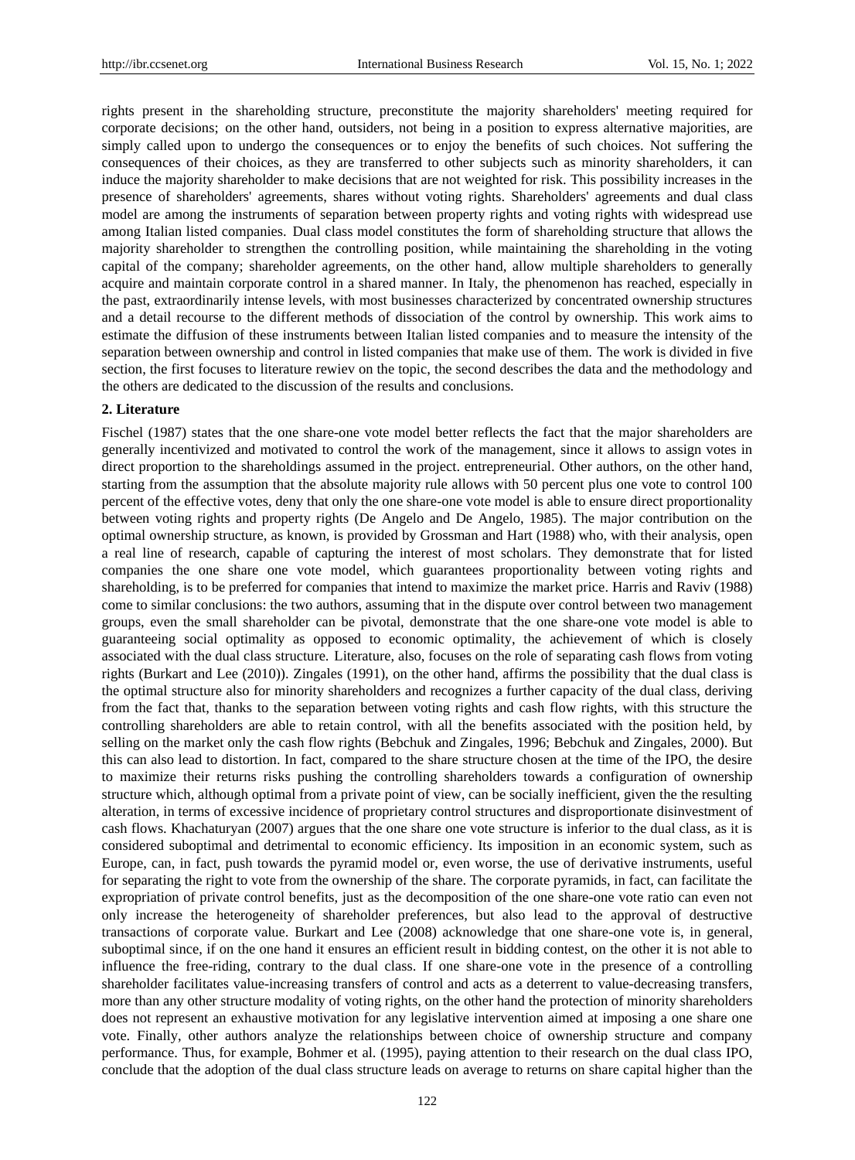rights present in the shareholding structure, preconstitute the majority shareholders' meeting required for corporate decisions; on the other hand, outsiders, not being in a position to express alternative majorities, are simply called upon to undergo the consequences or to enjoy the benefits of such choices. Not suffering the consequences of their choices, as they are transferred to other subjects such as minority shareholders, it can induce the majority shareholder to make decisions that are not weighted for risk. This possibility increases in the presence of shareholders' agreements, shares without voting rights. Shareholders' agreements and dual class model are among the instruments of separation between property rights and voting rights with widespread use among Italian listed companies. Dual class model constitutes the form of shareholding structure that allows the majority shareholder to strengthen the controlling position, while maintaining the shareholding in the voting capital of the company; shareholder agreements, on the other hand, allow multiple shareholders to generally acquire and maintain corporate control in a shared manner. In Italy, the phenomenon has reached, especially in the past, extraordinarily intense levels, with most businesses characterized by concentrated ownership structures and a detail recourse to the different methods of dissociation of the control by ownership. This work aims to estimate the diffusion of these instruments between Italian listed companies and to measure the intensity of the separation between ownership and control in listed companies that make use of them. The work is divided in five section, the first focuses to literature rewiev on the topic, the second describes the data and the methodology and the others are dedicated to the discussion of the results and conclusions.

## **2. Literature**

Fischel (1987) states that the one share-one vote model better reflects the fact that the major shareholders are generally incentivized and motivated to control the work of the management, since it allows to assign votes in direct proportion to the shareholdings assumed in the project. entrepreneurial. Other authors, on the other hand, starting from the assumption that the absolute majority rule allows with 50 percent plus one vote to control 100 percent of the effective votes, deny that only the one share-one vote model is able to ensure direct proportionality between voting rights and property rights (De Angelo and De Angelo, 1985). The major contribution on the optimal ownership structure, as known, is provided by Grossman and Hart (1988) who, with their analysis, open a real line of research, capable of capturing the interest of most scholars. They demonstrate that for listed companies the one share one vote model, which guarantees proportionality between voting rights and shareholding, is to be preferred for companies that intend to maximize the market price. Harris and Raviv (1988) come to similar conclusions: the two authors, assuming that in the dispute over control between two management groups, even the small shareholder can be pivotal, demonstrate that the one share-one vote model is able to guaranteeing social optimality as opposed to economic optimality, the achievement of which is closely associated with the dual class structure. Literature, also, focuses on the role of separating cash flows from voting rights (Burkart and Lee (2010)). Zingales (1991), on the other hand, affirms the possibility that the dual class is the optimal structure also for minority shareholders and recognizes a further capacity of the dual class, deriving from the fact that, thanks to the separation between voting rights and cash flow rights, with this structure the controlling shareholders are able to retain control, with all the benefits associated with the position held, by selling on the market only the cash flow rights (Bebchuk and Zingales, 1996; Bebchuk and Zingales, 2000). But this can also lead to distortion. In fact, compared to the share structure chosen at the time of the IPO, the desire to maximize their returns risks pushing the controlling shareholders towards a configuration of ownership structure which, although optimal from a private point of view, can be socially inefficient, given the the resulting alteration, in terms of excessive incidence of proprietary control structures and disproportionate disinvestment of cash flows. Khachaturyan (2007) argues that the one share one vote structure is inferior to the dual class, as it is considered suboptimal and detrimental to economic efficiency. Its imposition in an economic system, such as Europe, can, in fact, push towards the pyramid model or, even worse, the use of derivative instruments, useful for separating the right to vote from the ownership of the share. The corporate pyramids, in fact, can facilitate the expropriation of private control benefits, just as the decomposition of the one share-one vote ratio can even not only increase the heterogeneity of shareholder preferences, but also lead to the approval of destructive transactions of corporate value. Burkart and Lee (2008) acknowledge that one share-one vote is, in general, suboptimal since, if on the one hand it ensures an efficient result in bidding contest, on the other it is not able to influence the free-riding, contrary to the dual class. If one share-one vote in the presence of a controlling shareholder facilitates value-increasing transfers of control and acts as a deterrent to value-decreasing transfers, more than any other structure modality of voting rights, on the other hand the protection of minority shareholders does not represent an exhaustive motivation for any legislative intervention aimed at imposing a one share one vote. Finally, other authors analyze the relationships between choice of ownership structure and company performance. Thus, for example, Bohmer et al. (1995), paying attention to their research on the dual class IPO, conclude that the adoption of the dual class structure leads on average to returns on share capital higher than the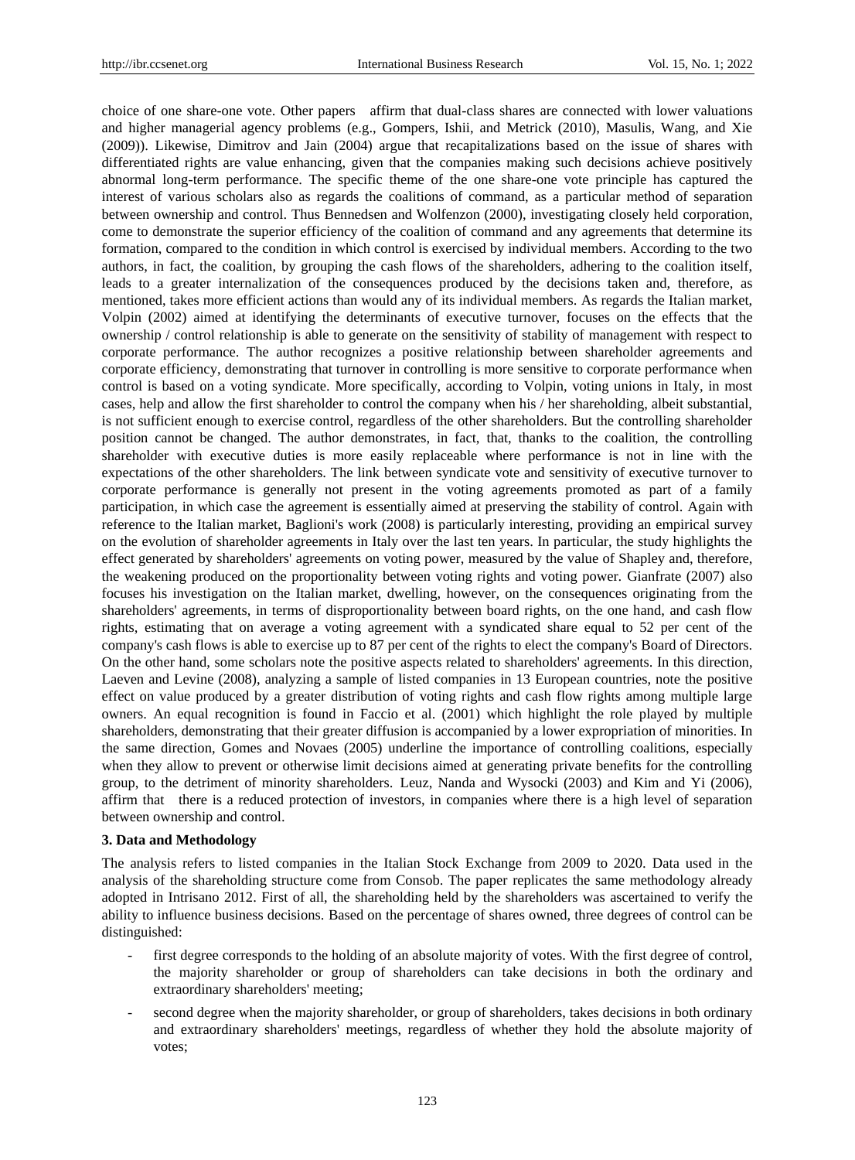choice of one share-one vote. Other papers affirm that dual-class shares are connected with lower valuations and higher managerial agency problems (e.g., Gompers, Ishii, and Metrick (2010), Masulis, Wang, and Xie (2009)). Likewise, Dimitrov and Jain (2004) argue that recapitalizations based on the issue of shares with differentiated rights are value enhancing, given that the companies making such decisions achieve positively abnormal long-term performance. The specific theme of the one share-one vote principle has captured the interest of various scholars also as regards the coalitions of command, as a particular method of separation between ownership and control. Thus Bennedsen and Wolfenzon (2000), investigating closely held corporation, come to demonstrate the superior efficiency of the coalition of command and any agreements that determine its formation, compared to the condition in which control is exercised by individual members. According to the two authors, in fact, the coalition, by grouping the cash flows of the shareholders, adhering to the coalition itself, leads to a greater internalization of the consequences produced by the decisions taken and, therefore, as mentioned, takes more efficient actions than would any of its individual members. As regards the Italian market, Volpin (2002) aimed at identifying the determinants of executive turnover, focuses on the effects that the ownership / control relationship is able to generate on the sensitivity of stability of management with respect to corporate performance. The author recognizes a positive relationship between shareholder agreements and corporate efficiency, demonstrating that turnover in controlling is more sensitive to corporate performance when control is based on a voting syndicate. More specifically, according to Volpin, voting unions in Italy, in most cases, help and allow the first shareholder to control the company when his / her shareholding, albeit substantial, is not sufficient enough to exercise control, regardless of the other shareholders. But the controlling shareholder position cannot be changed. The author demonstrates, in fact, that, thanks to the coalition, the controlling shareholder with executive duties is more easily replaceable where performance is not in line with the expectations of the other shareholders. The link between syndicate vote and sensitivity of executive turnover to corporate performance is generally not present in the voting agreements promoted as part of a family participation, in which case the agreement is essentially aimed at preserving the stability of control. Again with reference to the Italian market, Baglioni's work (2008) is particularly interesting, providing an empirical survey on the evolution of shareholder agreements in Italy over the last ten years. In particular, the study highlights the effect generated by shareholders' agreements on voting power, measured by the value of Shapley and, therefore, the weakening produced on the proportionality between voting rights and voting power. Gianfrate (2007) also focuses his investigation on the Italian market, dwelling, however, on the consequences originating from the shareholders' agreements, in terms of disproportionality between board rights, on the one hand, and cash flow rights, estimating that on average a voting agreement with a syndicated share equal to 52 per cent of the company's cash flows is able to exercise up to 87 per cent of the rights to elect the company's Board of Directors. On the other hand, some scholars note the positive aspects related to shareholders' agreements. In this direction, Laeven and Levine (2008), analyzing a sample of listed companies in 13 European countries, note the positive effect on value produced by a greater distribution of voting rights and cash flow rights among multiple large owners. An equal recognition is found in Faccio et al. (2001) which highlight the role played by multiple shareholders, demonstrating that their greater diffusion is accompanied by a lower expropriation of minorities. In the same direction, Gomes and Novaes (2005) underline the importance of controlling coalitions, especially when they allow to prevent or otherwise limit decisions aimed at generating private benefits for the controlling group, to the detriment of minority shareholders. Leuz, Nanda and Wysocki (2003) and Kim and Yi (2006), affirm that there is a reduced protection of investors, in companies where there is a high level of separation between ownership and control.

#### **3. Data and Methodology**

The analysis refers to listed companies in the Italian Stock Exchange from 2009 to 2020. Data used in the analysis of the shareholding structure come from Consob. The paper replicates the same methodology already adopted in Intrisano 2012. First of all, the shareholding held by the shareholders was ascertained to verify the ability to influence business decisions. Based on the percentage of shares owned, three degrees of control can be distinguished:

- first degree corresponds to the holding of an absolute majority of votes. With the first degree of control, the majority shareholder or group of shareholders can take decisions in both the ordinary and extraordinary shareholders' meeting;
- second degree when the majority shareholder, or group of shareholders, takes decisions in both ordinary and extraordinary shareholders' meetings, regardless of whether they hold the absolute majority of votes;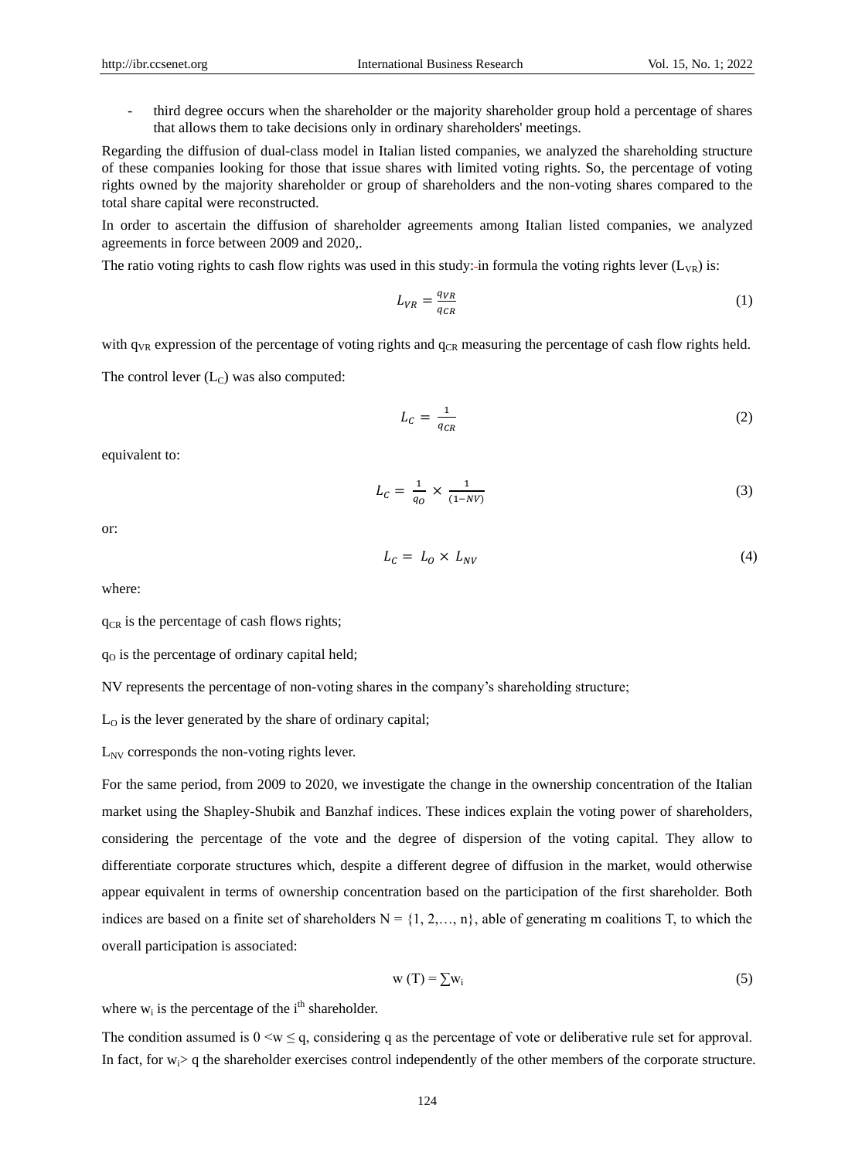- third degree occurs when the shareholder or the majority shareholder group hold a percentage of shares that allows them to take decisions only in ordinary shareholders' meetings.

Regarding the diffusion of dual-class model in Italian listed companies, we analyzed the shareholding structure of these companies looking for those that issue shares with limited voting rights. So, the percentage of voting rights owned by the majority shareholder or group of shareholders and the non-voting shares compared to the total share capital were reconstructed.

In order to ascertain the diffusion of shareholder agreements among Italian listed companies, we analyzed agreements in force between 2009 and 2020,.

The ratio voting rights to cash flow rights was used in this study: in formula the voting rights lever  $(L_{VR})$  is:

$$
L_{VR} = \frac{q_{VR}}{q_{CR}}\tag{1}
$$

with  $q_{VR}$  expression of the percentage of voting rights and  $q_{CR}$  measuring the percentage of cash flow rights held.

The control lever  $(L<sub>C</sub>)$  was also computed:

$$
L_C = \frac{1}{q_{CR}}\tag{2}
$$

equivalent to:

$$
L_C = \frac{1}{q_O} \times \frac{1}{(1 - NV)}
$$
\n
$$
\tag{3}
$$

or:

$$
L_C = L_O \times L_{NV} \tag{4}
$$

where:

 $q_{CR}$  is the percentage of cash flows rights;

 $q<sub>o</sub>$  is the percentage of ordinary capital held;

NV represents the percentage of non-voting shares in the company's shareholding structure;

 $L_0$  is the lever generated by the share of ordinary capital;

 $L_{\text{NV}}$  corresponds the non-voting rights lever.

For the same period, from 2009 to 2020, we investigate the change in the ownership concentration of the Italian market using the Shapley-Shubik and Banzhaf indices. These indices explain the voting power of shareholders, considering the percentage of the vote and the degree of dispersion of the voting capital. They allow to differentiate corporate structures which, despite a different degree of diffusion in the market, would otherwise appear equivalent in terms of ownership concentration based on the participation of the first shareholder. Both indices are based on a finite set of shareholders  $N = \{1, 2, \ldots, n\}$ , able of generating m coalitions T, to which the overall participation is associated:

$$
w(T) = \sum w_i
$$
 (5)

where  $w_i$  is the percentage of the i<sup>th</sup> shareholder.

The condition assumed is  $0 \le w \le q$ , considering q as the percentage of vote or deliberative rule set for approval. In fact, for  $w_i$  q the shareholder exercises control independently of the other members of the corporate structure.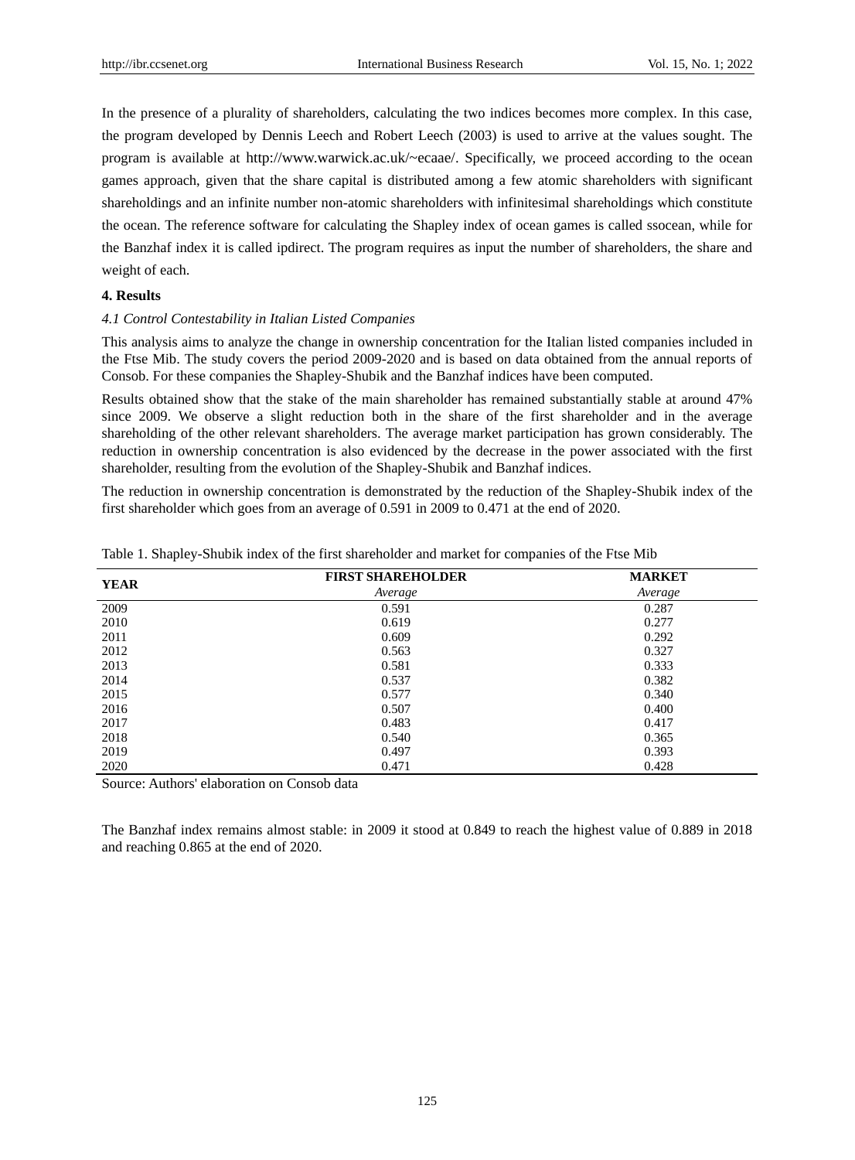In the presence of a plurality of shareholders, calculating the two indices becomes more complex. In this case, the program developed by Dennis Leech and Robert Leech (2003) is used to arrive at the values sought. The program is available at http://www.warwick.ac.uk/~ecaae/. Specifically, we proceed according to the ocean games approach, given that the share capital is distributed among a few atomic shareholders with significant shareholdings and an infinite number non-atomic shareholders with infinitesimal shareholdings which constitute the ocean. The reference software for calculating the Shapley index of ocean games is called ssocean, while for the Banzhaf index it is called ipdirect. The program requires as input the number of shareholders, the share and weight of each.

## **4. Results**

## *4.1 Control Contestability in Italian Listed Companies*

This analysis aims to analyze the change in ownership concentration for the Italian listed companies included in the Ftse Mib. The study covers the period 2009-2020 and is based on data obtained from the annual reports of Consob. For these companies the Shapley-Shubik and the Banzhaf indices have been computed.

Results obtained show that the stake of the main shareholder has remained substantially stable at around 47% since 2009. We observe a slight reduction both in the share of the first shareholder and in the average shareholding of the other relevant shareholders. The average market participation has grown considerably. The reduction in ownership concentration is also evidenced by the decrease in the power associated with the first shareholder, resulting from the evolution of the Shapley-Shubik and Banzhaf indices.

The reduction in ownership concentration is demonstrated by the reduction of the Shapley-Shubik index of the first shareholder which goes from an average of 0.591 in 2009 to 0.471 at the end of 2020.

| <b>YEAR</b> | <b>FIRST SHAREHOLDER</b> | <b>MARKET</b> |
|-------------|--------------------------|---------------|
|             | Average                  | Average       |
| 2009        | 0.591                    | 0.287         |
| 2010        | 0.619                    | 0.277         |
| 2011        | 0.609                    | 0.292         |
| 2012        | 0.563                    | 0.327         |
| 2013        | 0.581                    | 0.333         |
| 2014        | 0.537                    | 0.382         |
| 2015        | 0.577                    | 0.340         |
| 2016        | 0.507                    | 0.400         |
| 2017        | 0.483                    | 0.417         |
| 2018        | 0.540                    | 0.365         |
| 2019        | 0.497                    | 0.393         |
| 2020        | 0.471                    | 0.428         |

| Table 1. Shapley-Shubik index of the first shareholder and market for companies of the Ftse Mib |  |  |  |  |  |
|-------------------------------------------------------------------------------------------------|--|--|--|--|--|
|                                                                                                 |  |  |  |  |  |

Source: Authors' elaboration on Consob data

The Banzhaf index remains almost stable: in 2009 it stood at 0.849 to reach the highest value of 0.889 in 2018 and reaching 0.865 at the end of 2020.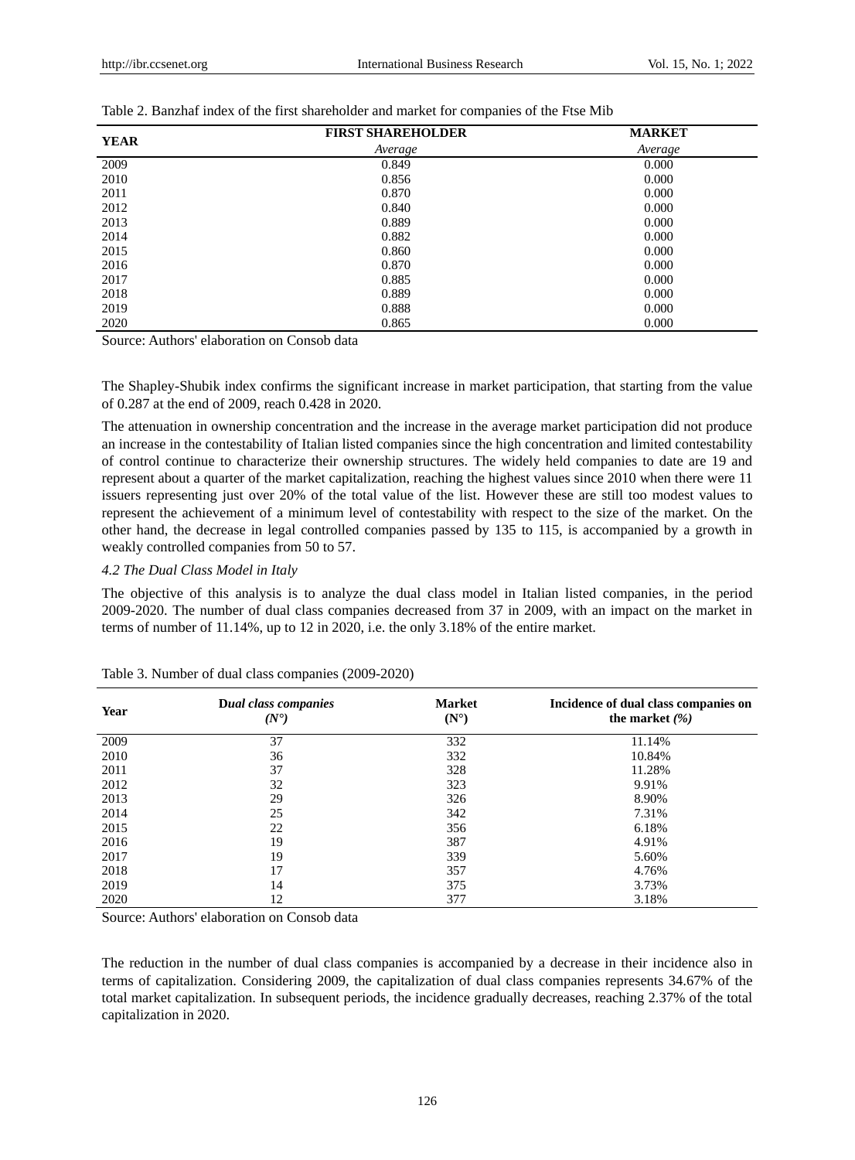| <b>YEAR</b> | <b>FIRST SHAREHOLDER</b> | <b>MARKET</b> |
|-------------|--------------------------|---------------|
|             | Average                  | Average       |
| 2009        | 0.849                    | 0.000         |
| 2010        | 0.856                    | 0.000         |
| 2011        | 0.870                    | 0.000         |
| 2012        | 0.840                    | 0.000         |
| 2013        | 0.889                    | 0.000         |
| 2014        | 0.882                    | 0.000         |
| 2015        | 0.860                    | 0.000         |
| 2016        | 0.870                    | 0.000         |
| 2017        | 0.885                    | 0.000         |
| 2018        | 0.889                    | 0.000         |
| 2019        | 0.888                    | 0.000         |
| 2020        | 0.865                    | 0.000         |

Table 2. Banzhaf index of the first shareholder and market for companies of the Ftse Mib

Source: Authors' elaboration on Consob data

The Shapley-Shubik index confirms the significant increase in market participation, that starting from the value of 0.287 at the end of 2009, reach 0.428 in 2020.

The attenuation in ownership concentration and the increase in the average market participation did not produce an increase in the contestability of Italian listed companies since the high concentration and limited contestability of control continue to characterize their ownership structures. The widely held companies to date are 19 and represent about a quarter of the market capitalization, reaching the highest values since 2010 when there were 11 issuers representing just over 20% of the total value of the list. However these are still too modest values to represent the achievement of a minimum level of contestability with respect to the size of the market. On the other hand, the decrease in legal controlled companies passed by 135 to 115, is accompanied by a growth in weakly controlled companies from 50 to 57.

## *4.2 The Dual Class Model in Italy*

The objective of this analysis is to analyze the dual class model in Italian listed companies, in the period 2009-2020. The number of dual class companies decreased from 37 in 2009, with an impact on the market in terms of number of 11.14%, up to 12 in 2020, i.e. the only 3.18% of the entire market.

| Year | Dual class companies<br>(N) | <b>Market</b><br>(N <sup>9</sup> ) | Incidence of dual class companies on<br>the market $(\% )$ |
|------|-----------------------------|------------------------------------|------------------------------------------------------------|
| 2009 | 37                          | 332                                | 11.14%                                                     |
| 2010 | 36                          | 332                                | 10.84%                                                     |
| 2011 | 37                          | 328                                | 11.28%                                                     |
| 2012 | 32                          | 323                                | 9.91%                                                      |
| 2013 | 29                          | 326                                | 8.90%                                                      |
| 2014 | 25                          | 342                                | 7.31%                                                      |
| 2015 | 22                          | 356                                | 6.18%                                                      |
| 2016 | 19                          | 387                                | 4.91%                                                      |
| 2017 | 19                          | 339                                | 5.60%                                                      |
| 2018 | 17                          | 357                                | 4.76%                                                      |
| 2019 | 14                          | 375                                | 3.73%                                                      |
| 2020 | 12                          | 377                                | 3.18%                                                      |

| Table 3. Number of dual class companies (2009-2020) |  |  |  |  |
|-----------------------------------------------------|--|--|--|--|
|-----------------------------------------------------|--|--|--|--|

Source: Authors' elaboration on Consob data

The reduction in the number of dual class companies is accompanied by a decrease in their incidence also in terms of capitalization. Considering 2009, the capitalization of dual class companies represents 34.67% of the total market capitalization. In subsequent periods, the incidence gradually decreases, reaching 2.37% of the total capitalization in 2020.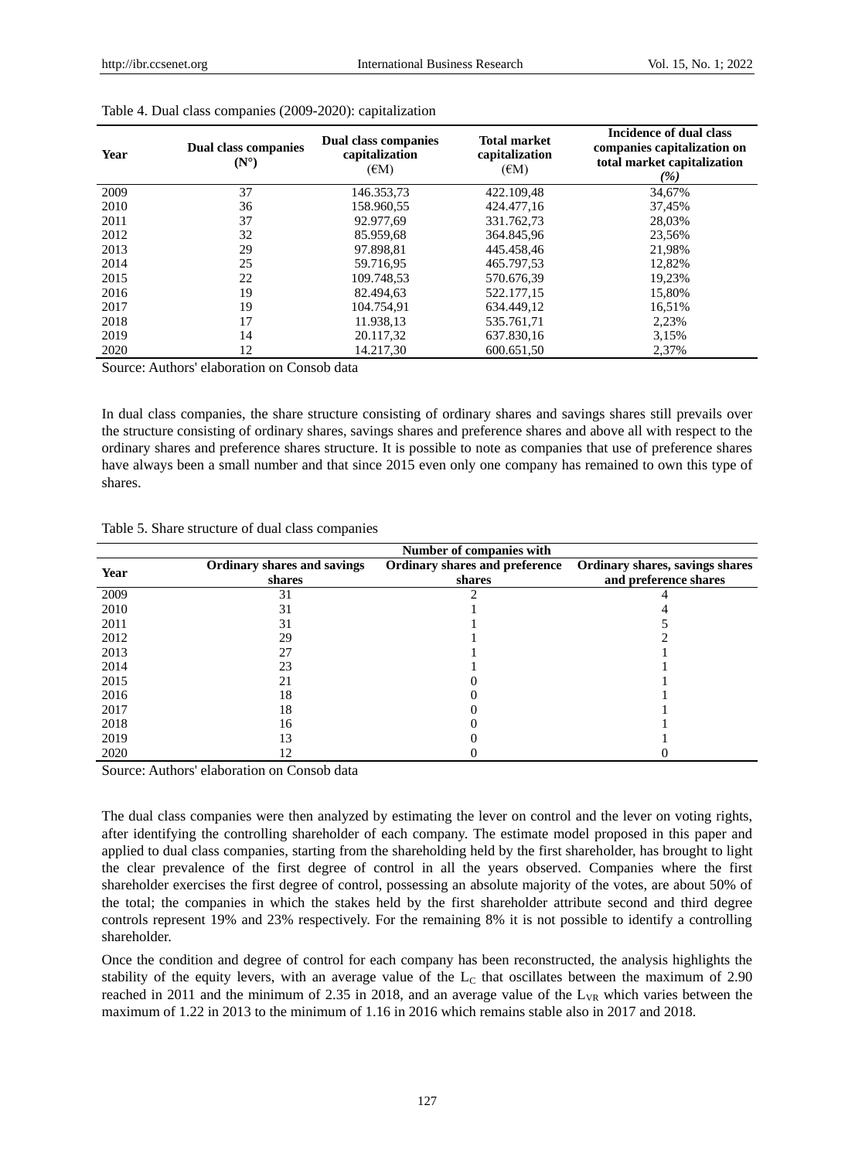| Year | <b>Dual class companies</b><br>(N <sup>9</sup> ) | Dual class companies<br>capitalization<br>$(\epsilon M)$ | <b>Total market</b><br>capitalization<br>$(\epsilon M)$ | Incidence of dual class<br>companies capitalization on<br>total market capitalization<br>(%) |
|------|--------------------------------------------------|----------------------------------------------------------|---------------------------------------------------------|----------------------------------------------------------------------------------------------|
| 2009 | 37                                               | 146.353,73                                               | 422.109,48                                              | 34,67%                                                                                       |
| 2010 | 36                                               | 158.960,55                                               | 424.477,16                                              | 37,45%                                                                                       |
| 2011 | 37                                               | 92.977.69                                                | 331.762,73                                              | 28.03%                                                                                       |
| 2012 | 32                                               | 85.959,68                                                | 364.845,96                                              | 23,56%                                                                                       |
| 2013 | 29                                               | 97.898,81                                                | 445.458,46                                              | 21,98%                                                                                       |
| 2014 | 25                                               | 59.716.95                                                | 465.797,53                                              | 12,82%                                                                                       |
| 2015 | 22                                               | 109.748,53                                               | 570.676,39                                              | 19,23%                                                                                       |
| 2016 | 19                                               | 82.494,63                                                | 522.177,15                                              | 15,80%                                                                                       |
| 2017 | 19                                               | 104.754.91                                               | 634.449.12                                              | 16,51%                                                                                       |
| 2018 | 17                                               | 11.938,13                                                | 535.761,71                                              | 2,23%                                                                                        |
| 2019 | 14                                               | 20.117,32                                                | 637.830,16                                              | 3,15%                                                                                        |
| 2020 | 12                                               | 14.217.30                                                | 600.651.50                                              | 2,37%                                                                                        |

#### Table 4. Dual class companies (2009-2020): capitalization

Source: Authors' elaboration on Consob data

In dual class companies, the share structure consisting of ordinary shares and savings shares still prevails over the structure consisting of ordinary shares, savings shares and preference shares and above all with respect to the ordinary shares and preference shares structure. It is possible to note as companies that use of preference shares have always been a small number and that since 2015 even only one company has remained to own this type of shares.

| Table 5. Share structure of dual class companies |
|--------------------------------------------------|
|--------------------------------------------------|

|      |                                              | Number of companies with                 |                                                          |
|------|----------------------------------------------|------------------------------------------|----------------------------------------------------------|
| Year | <b>Ordinary shares and savings</b><br>shares | Ordinary shares and preference<br>shares | Ordinary shares, savings shares<br>and preference shares |
| 2009 | 31                                           |                                          |                                                          |
| 2010 | 31                                           |                                          |                                                          |
| 2011 | 31                                           |                                          |                                                          |
| 2012 | 29                                           |                                          |                                                          |
| 2013 | 27                                           |                                          |                                                          |
| 2014 | 23                                           |                                          |                                                          |
| 2015 | 21                                           |                                          |                                                          |
| 2016 | 18                                           |                                          |                                                          |
| 2017 | 18                                           |                                          |                                                          |
| 2018 | 16                                           |                                          |                                                          |
| 2019 |                                              |                                          |                                                          |
| 2020 |                                              |                                          |                                                          |

Source: Authors' elaboration on Consob data

The dual class companies were then analyzed by estimating the lever on control and the lever on voting rights, after identifying the controlling shareholder of each company. The estimate model proposed in this paper and applied to dual class companies, starting from the shareholding held by the first shareholder, has brought to light the clear prevalence of the first degree of control in all the years observed. Companies where the first shareholder exercises the first degree of control, possessing an absolute majority of the votes, are about 50% of the total; the companies in which the stakes held by the first shareholder attribute second and third degree controls represent 19% and 23% respectively. For the remaining 8% it is not possible to identify a controlling shareholder.

Once the condition and degree of control for each company has been reconstructed, the analysis highlights the stability of the equity levers, with an average value of the  $L_c$  that oscillates between the maximum of 2.90 reached in 2011 and the minimum of 2.35 in 2018, and an average value of the  $L_{VR}$  which varies between the maximum of 1.22 in 2013 to the minimum of 1.16 in 2016 which remains stable also in 2017 and 2018.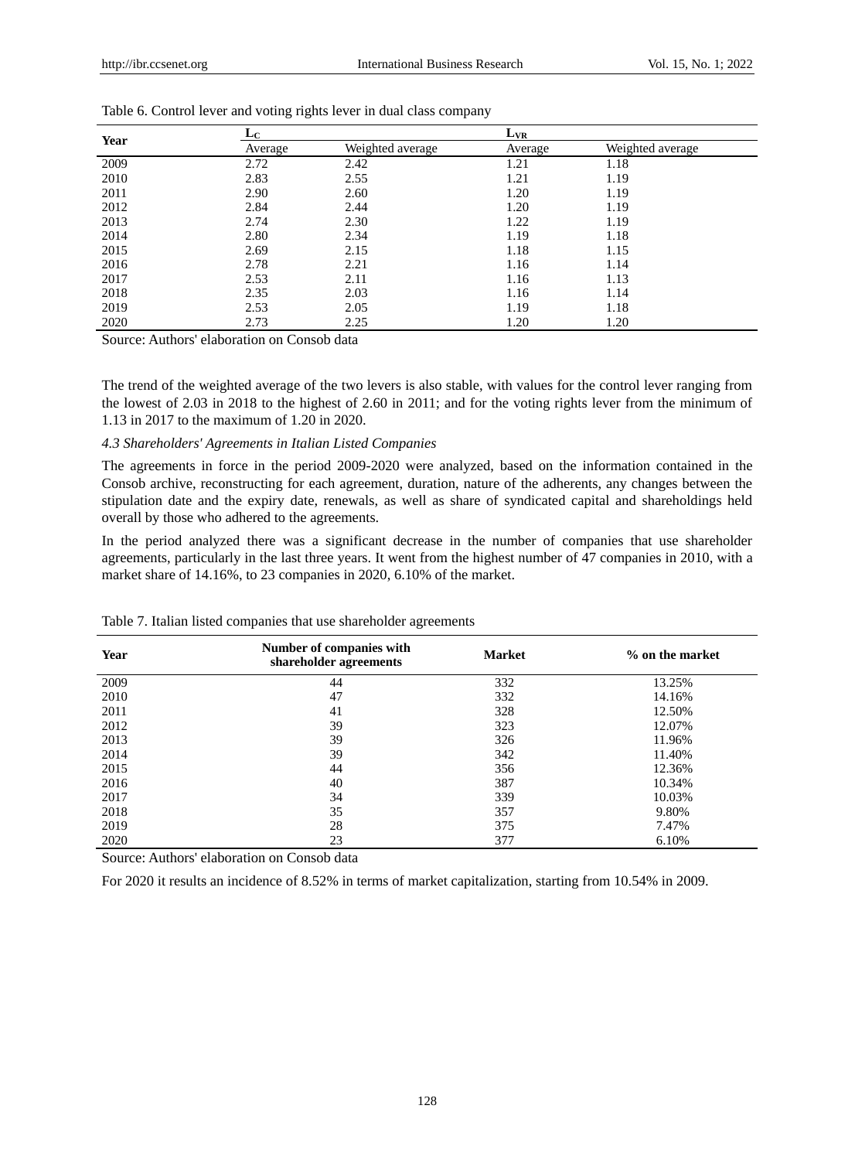| Year | ட்ட     |                  |         | $L_{VR}$         |  |
|------|---------|------------------|---------|------------------|--|
|      | Average | Weighted average | Average | Weighted average |  |
| 2009 | 2.72    | 2.42             | 1.21    | 1.18             |  |
| 2010 | 2.83    | 2.55             | 1.21    | 1.19             |  |
| 2011 | 2.90    | 2.60             | 1.20    | 1.19             |  |
| 2012 | 2.84    | 2.44             | 1.20    | 1.19             |  |
| 2013 | 2.74    | 2.30             | 1.22    | 1.19             |  |
| 2014 | 2.80    | 2.34             | 1.19    | 1.18             |  |
| 2015 | 2.69    | 2.15             | 1.18    | 1.15             |  |
| 2016 | 2.78    | 2.21             | 1.16    | 1.14             |  |
| 2017 | 2.53    | 2.11             | 1.16    | 1.13             |  |
| 2018 | 2.35    | 2.03             | 1.16    | 1.14             |  |
| 2019 | 2.53    | 2.05             | 1.19    | 1.18             |  |
| 2020 | 2.73    | 2.25             | 1.20    | 1.20             |  |

|  |  | Table 6. Control lever and voting rights lever in dual class company |
|--|--|----------------------------------------------------------------------|
|  |  |                                                                      |

Source: Authors' elaboration on Consob data

The trend of the weighted average of the two levers is also stable, with values for the control lever ranging from the lowest of 2.03 in 2018 to the highest of 2.60 in 2011; and for the voting rights lever from the minimum of 1.13 in 2017 to the maximum of 1.20 in 2020.

## *4.3 Shareholders' Agreements in Italian Listed Companies*

The agreements in force in the period 2009-2020 were analyzed, based on the information contained in the Consob archive, reconstructing for each agreement, duration, nature of the adherents, any changes between the stipulation date and the expiry date, renewals, as well as share of syndicated capital and shareholdings held overall by those who adhered to the agreements.

In the period analyzed there was a significant decrease in the number of companies that use shareholder agreements, particularly in the last three years. It went from the highest number of 47 companies in 2010, with a market share of 14.16%, to 23 companies in 2020, 6.10% of the market.

| Year | Number of companies with<br>shareholder agreements | <b>Market</b> | % on the market |
|------|----------------------------------------------------|---------------|-----------------|
| 2009 | 44                                                 | 332           | 13.25%          |
| 2010 | 47                                                 | 332           | 14.16%          |
| 2011 | 41                                                 | 328           | 12.50%          |
| 2012 | 39                                                 | 323           | 12.07%          |
| 2013 | 39                                                 | 326           | 11.96%          |
| 2014 | 39                                                 | 342           | 11.40%          |
| 2015 | 44                                                 | 356           | 12.36%          |
| 2016 | 40                                                 | 387           | 10.34%          |
| 2017 | 34                                                 | 339           | 10.03%          |
| 2018 | 35                                                 | 357           | 9.80%           |
| 2019 | 28                                                 | 375           | 7.47%           |
| 2020 | 23                                                 | 377           | 6.10%           |

Table 7. Italian listed companies that use shareholder agreements

Source: Authors' elaboration on Consob data

For 2020 it results an incidence of 8.52% in terms of market capitalization, starting from 10.54% in 2009.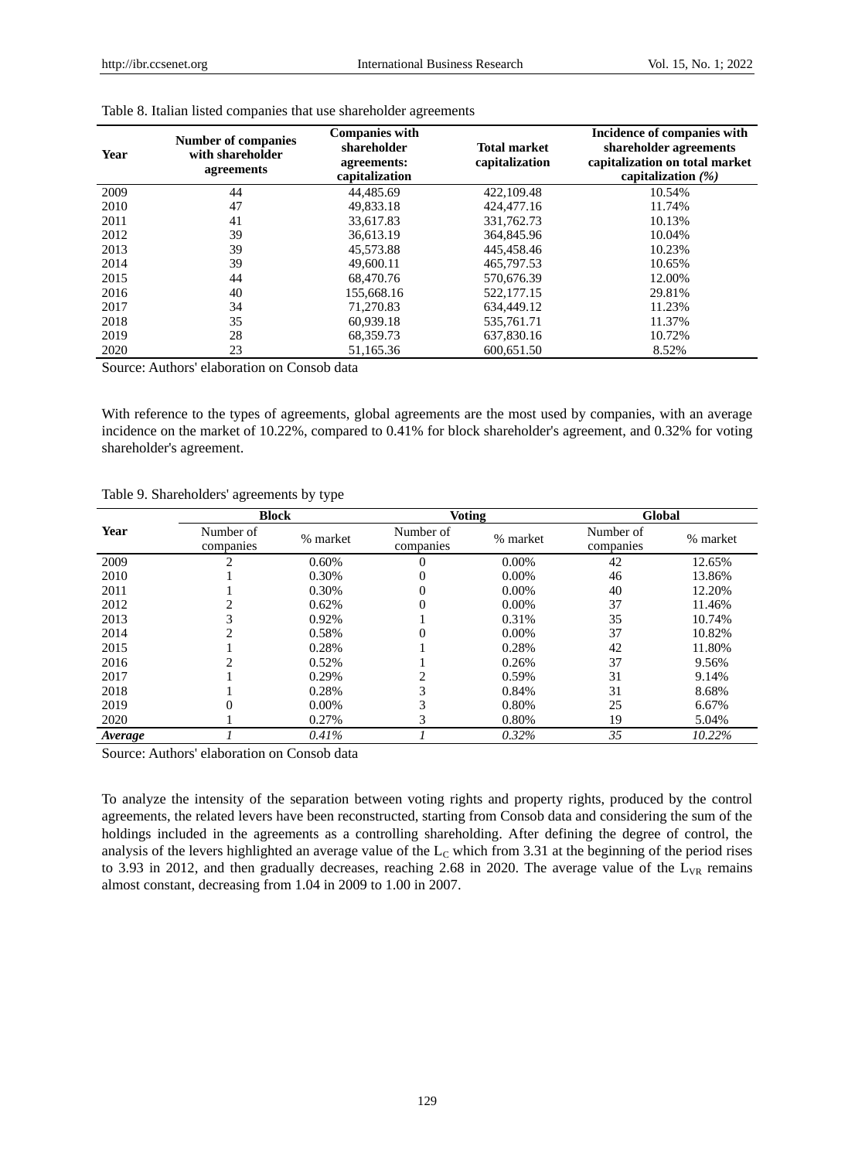| Year | <b>Number of companies</b><br>with shareholder<br>agreements | <b>Companies with</b><br>shareholder<br>agreements:<br>capitalization | <b>Total market</b><br>capitalization | Incidence of companies with<br>shareholder agreements<br>capitalization on total market<br>capitalization $(\%)$ |  |
|------|--------------------------------------------------------------|-----------------------------------------------------------------------|---------------------------------------|------------------------------------------------------------------------------------------------------------------|--|
| 2009 | 44                                                           | 44,485.69                                                             | 422,109.48                            | 10.54%                                                                                                           |  |
| 2010 | 47                                                           | 49.833.18                                                             | 424,477.16                            | 11.74%                                                                                                           |  |
| 2011 | 41                                                           | 33.617.83                                                             | 331,762.73                            | 10.13%                                                                                                           |  |
| 2012 | 39                                                           | 36.613.19                                                             | 364,845.96                            | 10.04%                                                                                                           |  |
| 2013 | 39                                                           | 45,573.88                                                             | 445,458.46                            | 10.23%                                                                                                           |  |
| 2014 | 39                                                           | 49,600.11                                                             | 465,797.53                            | 10.65%                                                                                                           |  |
| 2015 | 44                                                           | 68,470.76                                                             | 570,676.39                            | 12.00%                                                                                                           |  |
| 2016 | 40                                                           | 155,668.16                                                            | 522,177.15                            | 29.81%                                                                                                           |  |
| 2017 | 34                                                           | 71,270.83                                                             | 634,449.12                            | 11.23%                                                                                                           |  |
| 2018 | 35                                                           | 60.939.18                                                             | 535,761.71                            | 11.37%                                                                                                           |  |
| 2019 | 28                                                           | 68.359.73                                                             | 637,830.16                            | 10.72%                                                                                                           |  |
| 2020 | 23                                                           | 51,165.36                                                             | 600.651.50                            | 8.52%                                                                                                            |  |

#### Table 8. Italian listed companies that use shareholder agreements

Source: Authors' elaboration on Consob data

With reference to the types of agreements, global agreements are the most used by companies, with an average incidence on the market of 10.22%, compared to 0.41% for block shareholder's agreement, and 0.32% for voting shareholder's agreement.

|         | <b>Block</b>           |          | <b>Voting</b>          |          | Global                 |          |
|---------|------------------------|----------|------------------------|----------|------------------------|----------|
| Year    | Number of<br>companies | % market | Number of<br>companies | % market | Number of<br>companies | % market |
| 2009    |                        | 0.60%    |                        | $0.00\%$ | 42                     | 12.65%   |
| 2010    |                        | 0.30%    | $\Omega$               | $0.00\%$ | 46                     | 13.86%   |
| 2011    |                        | 0.30%    | $\Omega$               | $0.00\%$ | 40                     | 12.20%   |
| 2012    |                        | 0.62%    |                        | 0.00%    | 37                     | 11.46%   |
| 2013    |                        | 0.92%    |                        | 0.31%    | 35                     | 10.74%   |
| 2014    |                        | 0.58%    | 0                      | $0.00\%$ | 37                     | 10.82%   |
| 2015    |                        | 0.28%    |                        | 0.28%    | 42                     | 11.80%   |
| 2016    |                        | 0.52%    |                        | 0.26%    | 37                     | 9.56%    |
| 2017    |                        | 0.29%    |                        | 0.59%    | 31                     | 9.14%    |
| 2018    |                        | 0.28%    | 3                      | 0.84%    | 31                     | 8.68%    |
| 2019    |                        | $0.00\%$ |                        | 0.80%    | 25                     | 6.67%    |
| 2020    |                        | 0.27%    |                        | 0.80%    | 19                     | 5.04%    |
| Average |                        | 0.41%    |                        | $0.32\%$ | 35                     | 10.22%   |

#### Table 9. Shareholders' agreements by type

Source: Authors' elaboration on Consob data

To analyze the intensity of the separation between voting rights and property rights, produced by the control agreements, the related levers have been reconstructed, starting from Consob data and considering the sum of the holdings included in the agreements as a controlling shareholding. After defining the degree of control, the analysis of the levers highlighted an average value of the  $L<sub>C</sub>$  which from 3.31 at the beginning of the period rises to 3.93 in 2012, and then gradually decreases, reaching 2.68 in 2020. The average value of the  $L_{VR}$  remains almost constant, decreasing from 1.04 in 2009 to 1.00 in 2007.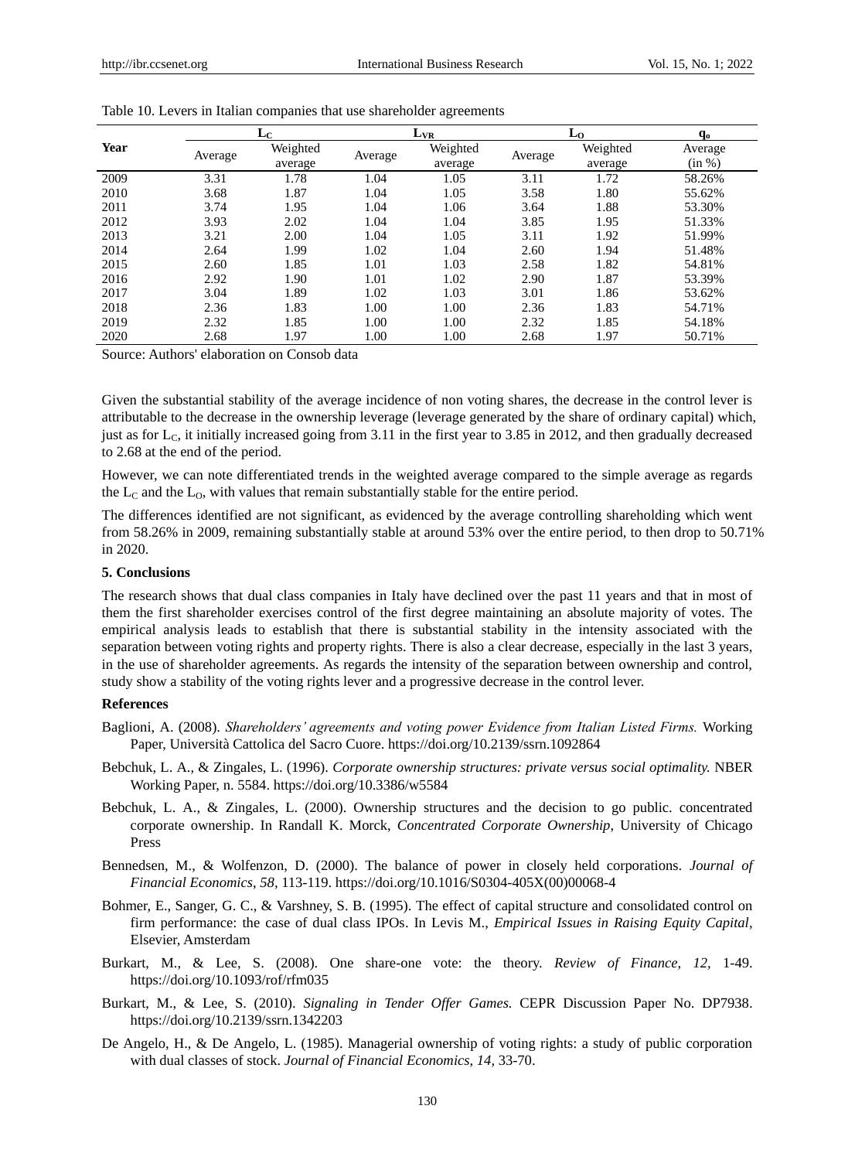|      | $L_{C}$ |                     | $L_{VR}$ |                     | Lο      |                     | $\mathbf{q}_0$    |
|------|---------|---------------------|----------|---------------------|---------|---------------------|-------------------|
| Year | Average | Weighted<br>average | Average  | Weighted<br>average | Average | Weighted<br>average | Average<br>(in %) |
| 2009 | 3.31    | 1.78                | 1.04     | 1.05                | 3.11    | 1.72                | 58.26%            |
| 2010 | 3.68    | 1.87                | 1.04     | 1.05                | 3.58    | 1.80                | 55.62%            |
| 2011 | 3.74    | 1.95                | 1.04     | 1.06                | 3.64    | 1.88                | 53.30%            |
| 2012 | 3.93    | 2.02                | 1.04     | 1.04                | 3.85    | 1.95                | 51.33%            |
| 2013 | 3.21    | 2.00                | 1.04     | 1.05                | 3.11    | 1.92                | 51.99%            |
| 2014 | 2.64    | 1.99                | 1.02     | 1.04                | 2.60    | 1.94                | 51.48%            |
| 2015 | 2.60    | 1.85                | 1.01     | 1.03                | 2.58    | 1.82                | 54.81%            |
| 2016 | 2.92    | 1.90                | 1.01     | 1.02                | 2.90    | 1.87                | 53.39%            |
| 2017 | 3.04    | 1.89                | 1.02     | 1.03                | 3.01    | 1.86                | 53.62%            |
| 2018 | 2.36    | 1.83                | 1.00     | 1.00                | 2.36    | 1.83                | 54.71%            |
| 2019 | 2.32    | 1.85                | 1.00     | 1.00                | 2.32    | 1.85                | 54.18%            |
| 2020 | 2.68    | 1.97                | 1.00     | 1.00                | 2.68    | 1.97                | 50.71%            |

Source: Authors' elaboration on Consob data

Given the substantial stability of the average incidence of non voting shares, the decrease in the control lever is attributable to the decrease in the ownership leverage (leverage generated by the share of ordinary capital) which, just as for  $L_c$ , it initially increased going from 3.11 in the first year to 3.85 in 2012, and then gradually decreased to 2.68 at the end of the period.

However, we can note differentiated trends in the weighted average compared to the simple average as regards the  $L_c$  and the  $L_0$ , with values that remain substantially stable for the entire period.

The differences identified are not significant, as evidenced by the average controlling shareholding which went from 58.26% in 2009, remaining substantially stable at around 53% over the entire period, to then drop to 50.71% in 2020.

## **5. Conclusions**

The research shows that dual class companies in Italy have declined over the past 11 years and that in most of them the first shareholder exercises control of the first degree maintaining an absolute majority of votes. The empirical analysis leads to establish that there is substantial stability in the intensity associated with the separation between voting rights and property rights. There is also a clear decrease, especially in the last 3 years, in the use of shareholder agreements. As regards the intensity of the separation between ownership and control, study show a stability of the voting rights lever and a progressive decrease in the control lever.

## **References**

- Baglioni, A. (2008). *Shareholders' agreements and voting power Evidence from Italian Listed Firms.* Working Paper, Università Cattolica del Sacro Cuore. https://doi.org/10.2139/ssrn.1092864
- Bebchuk, L. A., & Zingales, L. (1996). *Corporate ownership structures: private versus social optimality.* NBER Working Paper, n. 5584. https://doi.org/10.3386/w5584
- Bebchuk, L. A., & Zingales, L. (2000). Ownership structures and the decision to go public. concentrated corporate ownership. In Randall K. Morck, *Concentrated Corporate Ownership*, University of Chicago Press
- Bennedsen, M., & Wolfenzon, D. (2000). The balance of power in closely held corporations. *Journal of Financial Economics*, *58,* 113-119. https://doi.org/10.1016/S0304-405X(00)00068-4
- Bohmer, E., Sanger, G. C., & Varshney, S. B. (1995). The effect of capital structure and consolidated control on firm performance: the case of dual class IPOs. In Levis M., *Empirical Issues in Raising Equity Capital*, Elsevier, Amsterdam
- Burkart, M., & Lee, S. (2008). One share-one vote: the theory. *Review of Finance*, *12,* 1-49. https://doi.org/10.1093/rof/rfm035
- Burkart, M., & Lee, S. (2010). *Signaling in Tender Offer Games.* CEPR Discussion Paper No. DP7938. https://doi.org/10.2139/ssrn.1342203
- De Angelo, H., & De Angelo, L. (1985). Managerial ownership of voting rights: a study of public corporation with dual classes of stock. *Journal of Financial Economics*, *14,* 33-70.